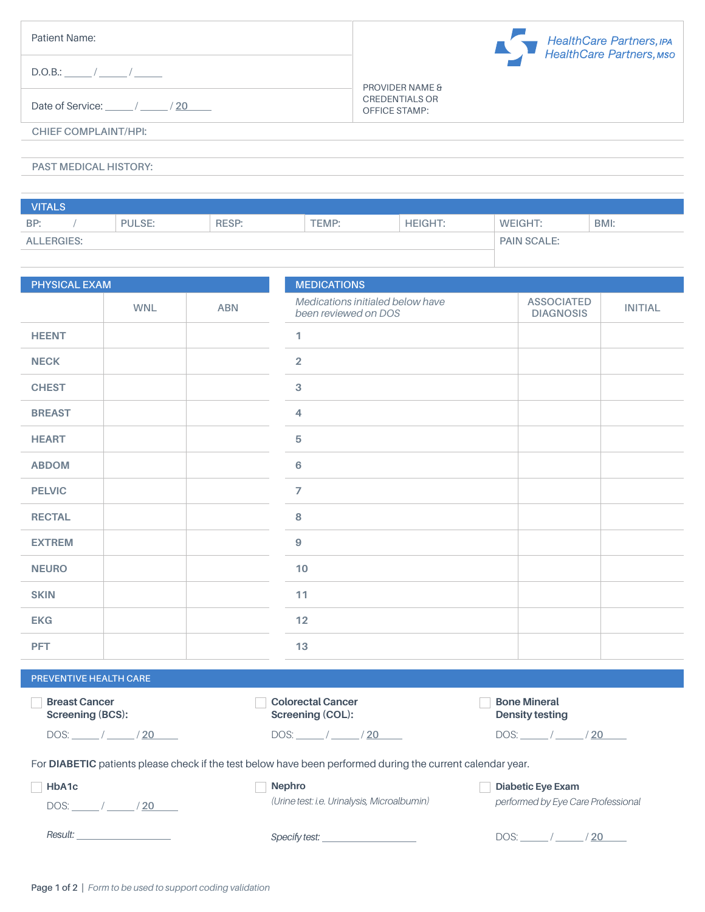| Patient Name:                | HealthCare Partners, IPA<br>HealthCare Partners, MSO |
|------------------------------|------------------------------------------------------|
| $D.O.B.:$ $/$ $/$ $/$        | <b>PROVIDER NAME &amp;</b>                           |
| Date of Service: / / / 20    | <b>CREDENTIALS OR</b><br><b>OFFICE STAMP:</b>        |
| CHIEF COMPLAINT/HPI:         |                                                      |
| <b>PAST MEDICAL HISTORY:</b> |                                                      |

| <b>VITALS</b>     |  |               |              |                    |                |                |      |
|-------------------|--|---------------|--------------|--------------------|----------------|----------------|------|
| BP:               |  | <b>PULSE:</b> | <b>RESP:</b> | TEMP:              | <b>HEIGHT:</b> | <b>WEIGHT:</b> | BMI: |
| <b>ALLERGIES:</b> |  |               |              | <b>PAIN SCALE:</b> |                |                |      |
|                   |  |               |              |                    |                |                |      |

| PHYSICAL EXAM          |            |            | <b>MEDICATIONS</b>                                       |                                       |                |  |
|------------------------|------------|------------|----------------------------------------------------------|---------------------------------------|----------------|--|
|                        | <b>WNL</b> | <b>ABN</b> | Medications initialed below have<br>been reviewed on DOS | <b>ASSOCIATED</b><br><b>DIAGNOSIS</b> | <b>INITIAL</b> |  |
| <b>HEENT</b>           |            |            | $\mathbf{1}$                                             |                                       |                |  |
| <b>NECK</b>            |            |            | $\overline{2}$                                           |                                       |                |  |
| <b>CHEST</b>           |            |            | $\mathbf{3}$                                             |                                       |                |  |
| <b>BREAST</b>          |            |            | $\overline{4}$                                           |                                       |                |  |
| <b>HEART</b>           |            |            | 5                                                        |                                       |                |  |
| <b>ABDOM</b>           |            |            | $6\phantom{a}$                                           |                                       |                |  |
| <b>PELVIC</b>          |            |            | $\overline{7}$                                           |                                       |                |  |
| <b>RECTAL</b>          |            |            | 8                                                        |                                       |                |  |
| <b>EXTREM</b>          |            |            | $\boldsymbol{9}$                                         |                                       |                |  |
| <b>NEURO</b>           |            |            | 10                                                       |                                       |                |  |
| <b>SKIN</b>            |            |            | 11                                                       |                                       |                |  |
| <b>EKG</b>             |            |            | 12                                                       |                                       |                |  |
| <b>PFT</b>             |            |            | 13                                                       |                                       |                |  |
| PREVENTIVE HEALTH CARE |            |            |                                                          |                                       |                |  |

| <b>Breast Cancer</b><br><b>Screening (BCS):</b> | <b>Colorectal Cancer</b><br>Screening (COL):                                                               | <b>Bone Mineral</b><br><b>Density testing</b> |
|-------------------------------------------------|------------------------------------------------------------------------------------------------------------|-----------------------------------------------|
| $DOS:$ $/$ $/$ $/$ $20$                         | $DOS:$ ________/ ________/ <u>20</u>                                                                       | /20                                           |
|                                                 | For DIABETIC patients please check if the test below have been performed during the current calendar year. |                                               |
| HbA1c                                           | <b>Nephro</b>                                                                                              | <b>Diabetic Eye Exam</b>                      |
| DOS: / / 20                                     | (Urine test: i.e. Urinalysis, Microalbumin)                                                                | performed by Eye Care Professional            |
|                                                 | Specify test: ___________________                                                                          | $DOS:$ / / / 20                               |